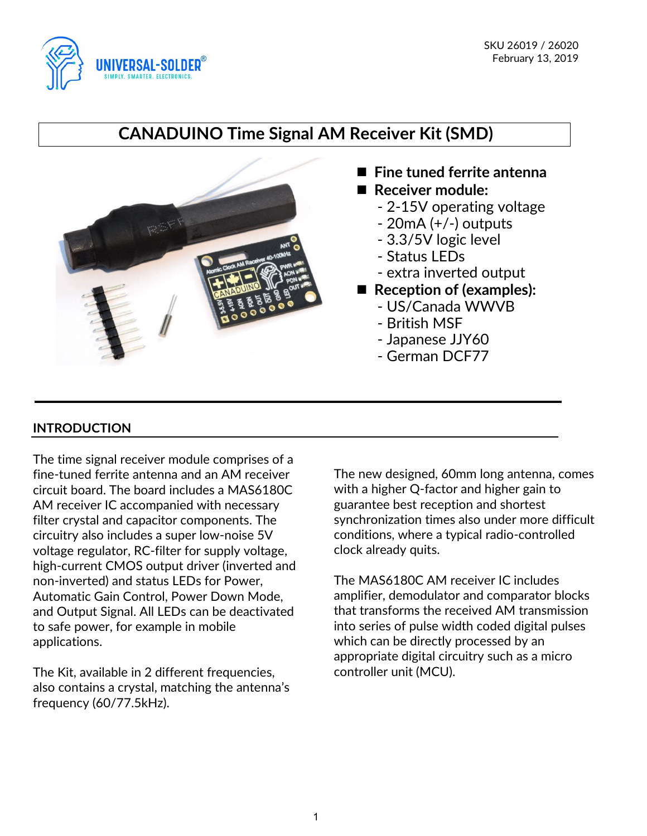

# **CANADUINO Time Signal AM Receiver Kit (SMD)**



- Fine tuned ferrite antenna ■ Receiver module:
	- 2-15V operating voltage
	- 20mA (+/-) outputs
	- 3.3/5V logic level
	- Status LEDs
	- extra inverted output
- Reception of (examples):
	- US/Canada WWVB
	- British MSF
	- Japanese JJY60
	- German DCF77

# **INTRODUCTION**

The time signal receiver module comprises of a fine-tuned ferrite antenna and an AM receiver circuit board. The board includes a MAS6180C AM receiver IC accompanied with necessary filter crystal and capacitor components. The circuitry also includes a super low-noise 5V voltage regulator, RC-filter for supply voltage, high-current CMOS output driver (inverted and non-inverted) and status LEDs for Power, Automatic Gain Control, Power Down Mode, and Output Signal. All LEDs can be deactivated to safe power, for example in mobile applications.

The Kit, available in 2 different frequencies, also contains a crystal, matching the antenna's frequency (60/77.5kHz).

The new designed, 60mm long antenna, comes with a higher Q-factor and higher gain to guarantee best reception and shortest synchronization times also under more difficult conditions, where a typical radio-controlled clock already quits.

The MAS6180C AM receiver IC includes amplifier, demodulator and comparator blocks that transforms the received AM transmission into series of pulse width coded digital pulses which can be directly processed by an appropriate digital circuitry such as a micro controller unit (MCU).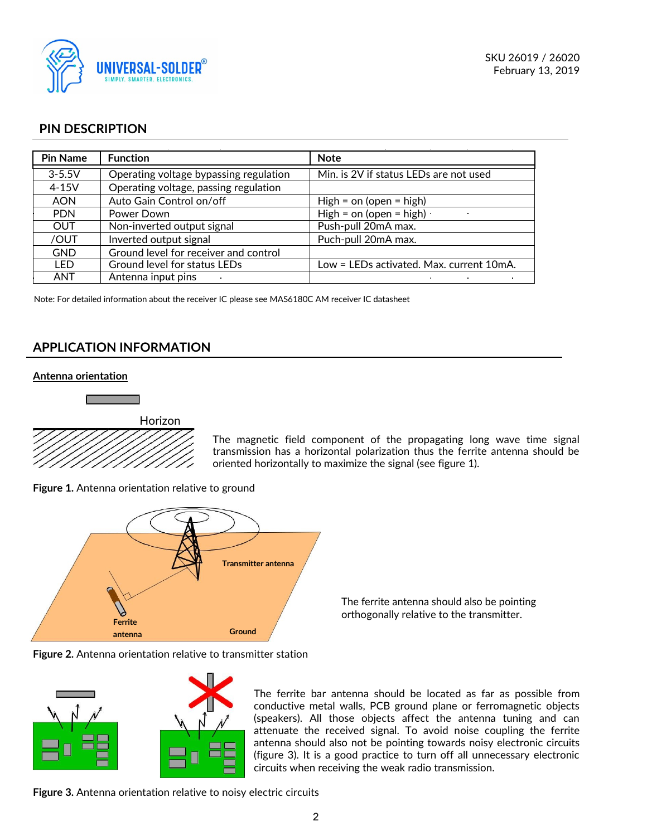

# **PIN DESCRIPTION**

| <b>Pin Name</b> | <b>Function</b>                        | <b>Note</b>                              |
|-----------------|----------------------------------------|------------------------------------------|
| $3 - 5.5V$      | Operating voltage bypassing regulation | Min. is 2V if status LEDs are not used   |
| $4-15V$         | Operating voltage, passing regulation  |                                          |
| <b>AON</b>      | Auto Gain Control on/off               | High = $\circ$ n (open = high)           |
| <b>PDN</b>      | Power Down                             | High = $\circ$ n (open = high)           |
| <b>OUT</b>      | Non-inverted output signal             | Push-pull 20mA max.                      |
| /OUT            | Inverted output signal                 | Puch-pull 20mA max.                      |
| <b>GND</b>      | Ground level for receiver and control  |                                          |
| LED             | Ground level for status LEDs           | Low = LEDs activated. Max. current 10mA. |
| <b>ANT</b>      | Antenna input pins                     |                                          |

Note: For detailed information about the receiver IC please see MAS6180C AM receiver IC datasheet

# **APPLICATION INFORMATION**

#### **Antenna orientation**





The magnetic field component of the propagating long wave time signal transmission has a horizontal polarization thus the ferrite antenna should be oriented horizontally to maximize the signal (see figure 1).

**Figure 1.** Antenna orientation relative to ground



The ferrite antenna should also be pointing orthogonally relative to the transmitter.

**Figure 2.** Antenna orientation relative to transmitter station



The ferrite bar antenna should be located as far as possible from conductive metal walls, PCB ground plane or ferromagnetic objects (speakers). All those objects affect the antenna tuning and can attenuate the received signal. To avoid noise coupling the ferrite antenna should also not be pointing towards noisy electronic circuits (figure 3). It is a good practice to turn off all unnecessary electronic circuits when receiving the weak radio transmission.

**Figure 3.** Antenna orientation relative to noisy electric circuits